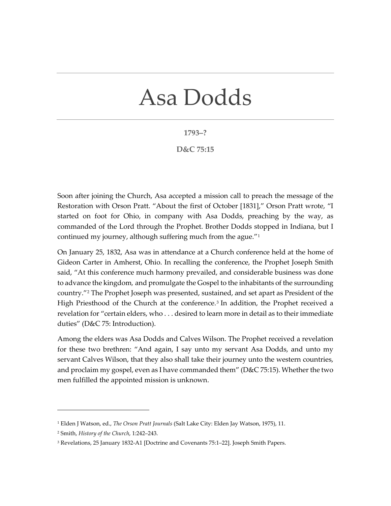## Asa Dodds

## **1793–?**

## **D&C 75:15**

Soon after joining the Church, Asa accepted a mission call to preach the message of the Restoration with Orson Pratt. "About the first of October [1831]," Orson Pratt wrote, "I started on foot for Ohio, in company with Asa Dodds, preaching by the way, as commanded of the Lord through the Prophet. Brother Dodds stopped in Indiana, but I continued my journey, although suffering much from the ague."[1](#page-0-0)

On January 25, 1832, Asa was in attendance at a Church conference held at the home of Gideon Carter in Amherst, Ohio. In recalling the conference, the Prophet Joseph Smith said, "At this conference much harmony prevailed, and considerable business was done to advance the kingdom*,* and promulgate the Gospel to the inhabitants of the surrounding country."[2](#page-0-1) The Prophet Joseph was presented, sustained, and set apart as President of the High Priesthood of the Church at the conference.<sup>[3](#page-0-2)</sup> In addition, the Prophet received a revelation for "certain elders, who . . . desired to learn more in detail as to their immediate duties" (D&C 75: Introduction).

Among the elders was Asa Dodds and Calves Wilson. The Prophet received a revelation for these two brethren: "And again, I say unto my servant Asa Dodds, and unto my servant Calves Wilson, that they also shall take their journey unto the western countries, and proclaim my gospel, even as I have commanded them" (D&C 75:15). Whether the two men fulfilled the appointed mission is unknown.

<span id="page-0-0"></span><sup>1</sup> Elden J Watson, ed., *The Orson Pratt Journals* (Salt Lake City: Elden Jay Watson, 1975), 11.

<span id="page-0-1"></span><sup>2</sup> Smith, *History of the Church*, 1:242–243.

<span id="page-0-2"></span><sup>3</sup> Revelations, 25 January 1832-A1 [Doctrine and Covenants 75:1–22]. Joseph Smith Papers.